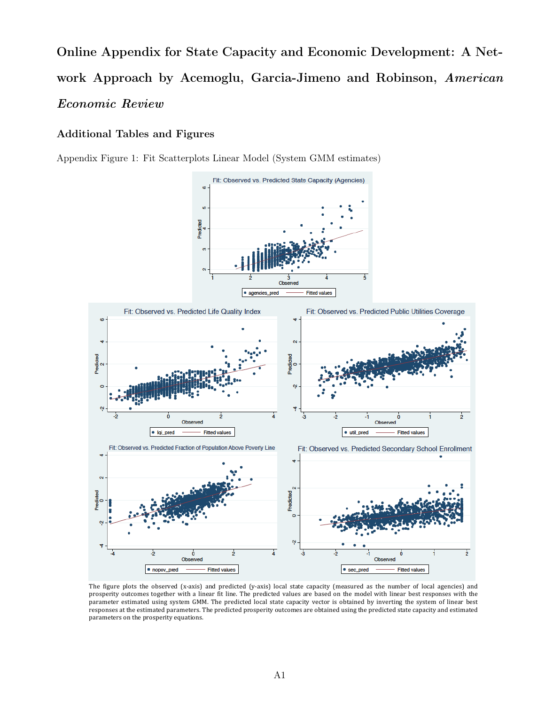Online Appendix for State Capacity and Economic Development: A Network Approach by Acemoglu, Garcia-Jimeno and Robinson, *American Economic Review*

## Additional Tables and Figures

Appendix Figure 1: Fit Scatterplots Linear Model (System GMM estimates)



The figure plots the observed (x-axis) and predicted (y-axis) local state capacity (measured as the number of local agencies) and prosperity outcomes together with a linear fit line. The predicted values are based on the model with linear best responses with the parameter estimated using system GMM. The predicted local state capacity vector is obtained by inverting the system of linear best responses at the estimated parameters. The predicted prosperity outcomes are obtained using the predicted state capacity and estimated parameters on the prosperity equations.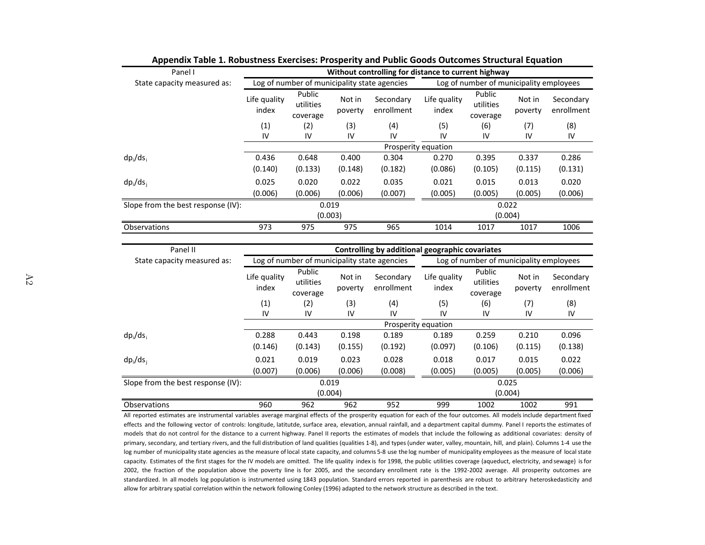| Panel I                            | Without controlling for distance to current highway |                                              |                   |                                                 |                       |                                         |                   |                         |  |
|------------------------------------|-----------------------------------------------------|----------------------------------------------|-------------------|-------------------------------------------------|-----------------------|-----------------------------------------|-------------------|-------------------------|--|
| State capacity measured as:        |                                                     | Log of number of municipality state agencies |                   |                                                 |                       | Log of number of municipality employees |                   |                         |  |
|                                    | Life quality<br>index                               | Public<br>utilities<br>coverage              | Not in<br>poverty | Secondary<br>enrollment                         | Life quality<br>index | Public<br>utilities<br>coverage         | Not in<br>poverty | Secondary<br>enrollment |  |
|                                    | (1)                                                 | (2)                                          | (3)               | (4)                                             | (5)                   | (6)                                     | (7)               | (8)                     |  |
|                                    | IV                                                  | ${\sf IV}$                                   | IV                | IV                                              | IV                    | IV                                      | IV                | IV                      |  |
|                                    |                                                     |                                              |                   |                                                 | Prosperity equation   |                                         |                   |                         |  |
| $dp_i/ds_i$                        | 0.436                                               | 0.648                                        | 0.400             | 0.304                                           | 0.270                 | 0.395                                   | 0.337             | 0.286                   |  |
|                                    | (0.140)                                             | (0.133)                                      | (0.148)           | (0.182)                                         | (0.086)               | (0.105)                                 | (0.115)           | (0.131)                 |  |
| $dp_i/ds_i$                        | 0.025                                               | 0.020                                        | 0.022             | 0.035                                           | 0.021                 | 0.015                                   | 0.013             | 0.020                   |  |
|                                    | (0.006)                                             | (0.006)                                      | (0.006)           | (0.007)                                         | (0.005)               | (0.005)                                 | (0.005)           | (0.006)                 |  |
| Slope from the best response (IV): |                                                     | 0.019                                        |                   |                                                 |                       | 0.022                                   |                   |                         |  |
|                                    |                                                     |                                              | (0.003)           |                                                 |                       | (0.004)                                 |                   |                         |  |
| Observations                       | 973                                                 | 975                                          | 975               | 965                                             | 1014                  | 1017                                    | 1017              | 1006                    |  |
|                                    |                                                     |                                              |                   |                                                 |                       |                                         |                   |                         |  |
| Panel II                           |                                                     |                                              |                   | Controlling by additional geographic covariates |                       |                                         |                   |                         |  |
| State capacity measured as:        |                                                     | Log of number of municipality state agencies |                   |                                                 |                       | Log of number of municipality employees |                   |                         |  |
|                                    | Life quality<br>index                               | Public<br>utilities<br>coverage              | Not in<br>poverty | Secondary<br>enrollment                         | Life quality<br>index | Public<br>utilities<br>coverage         | Not in<br>poverty | Secondary<br>enrollment |  |
|                                    | (1)                                                 | (2)                                          | (3)               | (4)                                             | (5)                   | (6)                                     | (7)               | (8)                     |  |
|                                    | IV                                                  | ${\sf IV}$                                   | IV                | IV                                              | IV                    | IV                                      | IV                | IV                      |  |
|                                    |                                                     |                                              |                   |                                                 | Prosperity equation   |                                         |                   |                         |  |
| $dp_i/ds_i$                        | 0.288                                               | 0.443                                        | 0.198             | 0.189                                           | 0.189                 | 0.259                                   | 0.210             | 0.096                   |  |
|                                    | (0.146)                                             | (0.143)                                      | (0.155)           | (0.192)                                         | (0.097)               | (0.106)                                 | (0.115)           | (0.138)                 |  |
| $dp_i/ds_i$                        | 0.021                                               | 0.019                                        | 0.023             | 0.028                                           | 0.018                 | 0.017                                   | 0.015             | 0.022                   |  |
|                                    | (0.007)                                             | (0.006)                                      | (0.006)           | (0.008)                                         | (0.005)               | (0.005)                                 | (0.005)           | (0.006)                 |  |
| Slope from the best response (IV): |                                                     |                                              | 0.019             |                                                 |                       |                                         | 0.025             |                         |  |
|                                    |                                                     |                                              | (0.004)           |                                                 |                       | (0.004)                                 |                   |                         |  |
| Observations                       | 960                                                 | 962                                          | 962               | 952                                             | 999                   | 1002                                    | 1002              | 991                     |  |

Appendix Table 1. Robustness Exercises: Prosperity and Public Goods Outcomes Structural Equation

All reported estimates are instrumental variables average marginal effects of the prosperity equation for each of the four outcomes. All models include department fixed effects and the following vector of controls: longitude, latitutde, surface area, elevation, annual rainfall, and a department capital dummy. Panel I reports the estimates of models that do not control for the distance to a current highway. Panel II reports the estimates of models that include the following as additional covariates: density of primary, secondary, and tertiary rivers, and the full distribution of land qualities (qualities 1-8), and types (under water, valley, mountain, hill, and plain). Columns 1-4 use the log number of municipality state agencies as the measure of local state capacity, and columns 5-8 use the log number of municipality employees as the measure of local state capacity. Estimates of the first stages for the IV models are omitted. The life quality index is for 1998, the public utilities coverage (aqueduct, electricity, and sewage) is for 2002, the fraction of the population above the poverty line is for 2005, and the secondary enrollment rate is the 1992-2002 average. All prosperity outcomes are standardized. In all models log population is instrumented using 1843 population. Standard errors reported in parenthesis are robust to arbitrary heteroskedasticity and allow for arbitrary spatial correlation within the network following Conley (1996) adapted to the network structure as described in the text.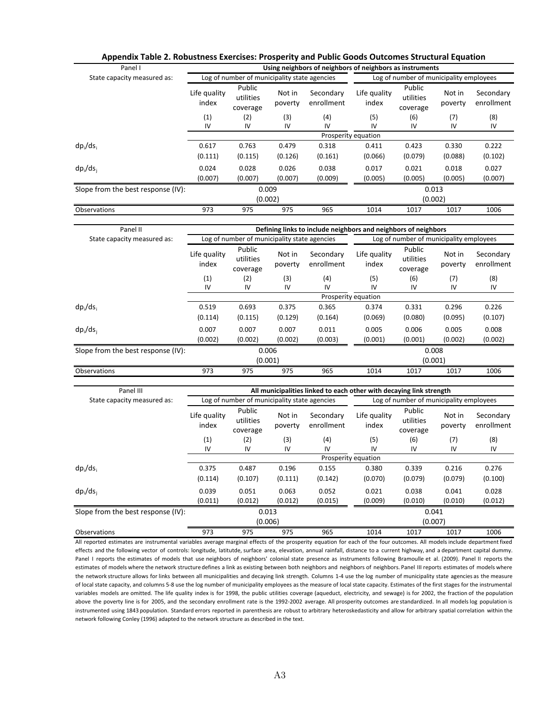| Panel I                            |                       |                                              |                   | Using neighbors of neighbors of neighbors as instruments |                       |                                         |                   |                         |  |
|------------------------------------|-----------------------|----------------------------------------------|-------------------|----------------------------------------------------------|-----------------------|-----------------------------------------|-------------------|-------------------------|--|
| State capacity measured as:        |                       | Log of number of municipality state agencies |                   |                                                          |                       | Log of number of municipality employees |                   |                         |  |
|                                    | Life quality<br>index | Public<br>utilities<br>coverage              | Not in<br>poverty | Secondary<br>enrollment                                  | Life quality<br>index | Public<br>utilities<br>coverage         | Not in<br>poverty | Secondary<br>enrollment |  |
|                                    | (1)                   | (2)                                          | (3)               | (4)                                                      | (5)                   | (6)                                     | (7)               | (8)                     |  |
|                                    | IV                    | IV                                           | IV                | IV                                                       | IV                    | IV                                      | IV                | IV                      |  |
|                                    |                       |                                              |                   |                                                          | Prosperity equation   |                                         |                   |                         |  |
| $dp_i/ds_i$                        | 0.617                 | 0.763                                        | 0.479             | 0.318                                                    | 0.411                 | 0.423                                   | 0.330             | 0.222                   |  |
|                                    | (0.111)               | (0.115)                                      | (0.126)           | (0.161)                                                  | (0.066)               | (0.079)                                 | (0.088)           | (0.102)                 |  |
| $dp_i/ds_i$                        | 0.024                 | 0.028                                        | 0.026             | 0.038                                                    | 0.017                 | 0.021                                   | 0.018             | 0.027                   |  |
|                                    | (0.007)               | (0.007)                                      | (0.007)           | (0.009)                                                  | (0.005)               | (0.005)                                 | (0.005)           | (0.007)                 |  |
| Slope from the best response (IV): |                       | 0.009                                        |                   |                                                          | 0.013                 |                                         |                   |                         |  |
|                                    |                       | (0.002)                                      |                   |                                                          |                       | (0.002)                                 |                   |                         |  |
| Observations                       | 973                   | 975                                          | 975               | 965                                                      | 1014                  | 1017                                    | 1017              | 1006                    |  |

| Panel II                           | Defining links to include neighbors and neighbors of neighbors |                                 |                   |                         |                                         |                                 |                   |                         |
|------------------------------------|----------------------------------------------------------------|---------------------------------|-------------------|-------------------------|-----------------------------------------|---------------------------------|-------------------|-------------------------|
| State capacity measured as:        | Log of number of municipality state agencies                   |                                 |                   |                         | Log of number of municipality employees |                                 |                   |                         |
|                                    | Life quality<br>index                                          | Public<br>utilities<br>coverage | Not in<br>poverty | Secondary<br>enrollment | Life quality<br>index                   | Public<br>utilities<br>coverage | Not in<br>poverty | Secondary<br>enrollment |
|                                    | (1)                                                            | (2)                             | (3)               | (4)                     | (5)                                     | (6)                             | (7)               | (8)                     |
|                                    | IV                                                             | IV                              | IV                | IV                      | IV                                      | IV                              | IV                | IV                      |
|                                    |                                                                |                                 |                   |                         | Prosperity equation                     |                                 |                   |                         |
| $dp_i/ds_i$                        | 0.519                                                          | 0.693                           | 0.375             | 0.365                   | 0.374                                   | 0.331                           | 0.296             | 0.226                   |
|                                    | (0.114)                                                        | (0.115)                         | (0.129)           | (0.164)                 | (0.069)                                 | (0.080)                         | (0.095)           | (0.107)                 |
| $dp_i/ds_i$                        | 0.007                                                          | 0.007                           | 0.007             | 0.011                   | 0.005                                   | 0.006                           | 0.005             | 0.008                   |
|                                    | (0.002)                                                        | (0.002)                         | (0.002)           | (0.003)                 | (0.001)                                 | (0.001)                         | (0.002)           | (0.002)                 |
| Slope from the best response (IV): |                                                                | 0.006                           |                   |                         |                                         | 0.008                           |                   |                         |
|                                    |                                                                | (0.001)                         |                   |                         |                                         | (0.001)                         |                   |                         |
| <b>Observations</b>                | 973                                                            | 975                             | 975               | 965                     | 1014                                    | 1017                            | 1017              | 1006                    |

| Panel III                          |                       | All municipalities linked to each other with decaying link strength |                    |                         |                       |                                         |                   |                         |  |
|------------------------------------|-----------------------|---------------------------------------------------------------------|--------------------|-------------------------|-----------------------|-----------------------------------------|-------------------|-------------------------|--|
| State capacity measured as:        |                       | Log of number of municipality state agencies                        |                    |                         |                       | Log of number of municipality employees |                   |                         |  |
|                                    | Life quality<br>index | Public<br>utilities<br>coverage                                     | Not in<br>poverty  | Secondary<br>enrollment | Life quality<br>index | Public<br>utilities<br>coverage         | Not in<br>poverty | Secondary<br>enrollment |  |
|                                    | (1)                   | (2)                                                                 | (3)                | (4)                     | (5)                   | (6)                                     | (7)               | (8)                     |  |
|                                    | IV                    | IV                                                                  | IV                 | IV                      | IV                    | IV                                      | IV                | IV                      |  |
|                                    |                       |                                                                     |                    |                         | Prosperity equation   |                                         |                   |                         |  |
| $dp_i/ds_i$                        | 0.375                 | 0.487                                                               | 0.196              | 0.155                   | 0.380                 | 0.339                                   | 0.216             | 0.276                   |  |
|                                    | (0.114)               | (0.107)                                                             | (0.111)            | (0.142)                 | (0.070)               | (0.079)                                 | (0.079)           | (0.100)                 |  |
| $dp_i/ds_i$                        | 0.039                 | 0.051                                                               | 0.063              | 0.052                   | 0.021                 | 0.038                                   | 0.041             | 0.028                   |  |
|                                    | (0.011)               | (0.012)                                                             | (0.012)            | (0.015)                 | (0.009)               | (0.010)                                 | (0.010)           | (0.012)                 |  |
| Slope from the best response (IV): | 0.013                 |                                                                     |                    | 0.041                   |                       |                                         |                   |                         |  |
|                                    |                       |                                                                     | (0.006)<br>(0.007) |                         |                       |                                         |                   |                         |  |
| <b>Observations</b>                | 973                   | 975                                                                 | 975                | 965                     | 1014                  | 1017                                    | 1017              | 1006                    |  |

All reported estimates are instrumental variables average marginal effects of the prosperity equation for each of the four outcomes. All models include department fixed effects and the following vector of controls: longitude, latitutde, surface area, elevation, annual rainfall, distance to a current highway, and a department capital dummy. Panel I reports the estimates of models that use neighbors of neighbors' colonial state presence as instruments following Bramoulle et al. (2009). Panel II reports the estimates of models where the network structure defines a link as existing between both neighbors and neighbors of neighbors. Panel III reports estimates of models where the network structure allows for links between all municipalities and decaying link strength. Columns 1-4 use the log number of municipality state agencies as the measure of local state capacity, and columns 5-8 use the log number of municipality employees as the measure of local state capacity. Estimates of the first stages for the instrumental variables models are omitted. The life quality index is for 1998, the public utilities coverage (aqueduct, electricity, and sewage) is for 2002, the fraction of the population above the poverty line is for 2005, and the secondary enrollment rate is the 1992-2002 average. All prosperity outcomes are standardized. In all models log population is instrumented using 1843 population. Standard errors reported in parenthesis are robust to arbitrary heteroskedasticity and allow for arbitrary spatial correlation within the network following Conley (1996) adapted to the network structure as described in the text.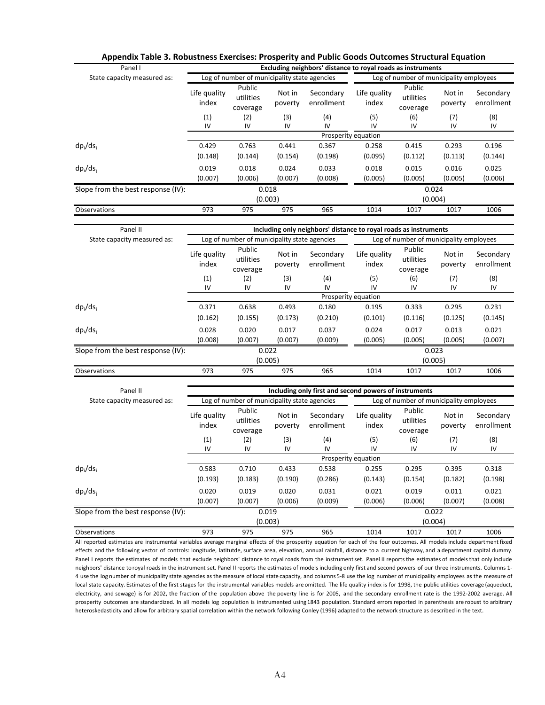| Panel I                            |                       |                                              |                   | Excluding neighbors' distance to royal roads as instruments |                       |                                         |                   |                         |  |
|------------------------------------|-----------------------|----------------------------------------------|-------------------|-------------------------------------------------------------|-----------------------|-----------------------------------------|-------------------|-------------------------|--|
| State capacity measured as:        |                       | Log of number of municipality state agencies |                   |                                                             |                       | Log of number of municipality employees |                   |                         |  |
|                                    | Life quality<br>index | Public<br>utilities<br>coverage              | Not in<br>poverty | Secondary<br>enrollment                                     | Life quality<br>index | Public<br>utilities<br>coverage         | Not in<br>poverty | Secondary<br>enrollment |  |
|                                    | (1)                   | (2)                                          | (3)               | (4)                                                         | (5)                   | (6)                                     | (7)               | (8)                     |  |
|                                    | IV                    | IV                                           | IV                | IV                                                          | IV                    | IV                                      | IV                | IV                      |  |
|                                    |                       |                                              |                   |                                                             | Prosperity equation   |                                         |                   |                         |  |
| $dp_i/ds_i$                        | 0.429                 | 0.763                                        | 0.441             | 0.367                                                       | 0.258                 | 0.415                                   | 0.293             | 0.196                   |  |
|                                    | (0.148)               | (0.144)                                      | (0.154)           | (0.198)                                                     | (0.095)               | (0.112)                                 | (0.113)           | (0.144)                 |  |
| $dp_i/ds_i$                        | 0.019                 | 0.018                                        | 0.024             | 0.033                                                       | 0.018                 | 0.015                                   | 0.016             | 0.025                   |  |
|                                    | (0.007)               | (0.006)                                      | (0.007)           | (0.008)                                                     | (0.005)               | (0.005)                                 | (0.005)           | (0.006)                 |  |
| Slope from the best response (IV): | 0.018                 |                                              |                   | 0.024                                                       |                       |                                         |                   |                         |  |
|                                    |                       | (0.003)                                      |                   |                                                             |                       | (0.004)                                 |                   |                         |  |
| <b>Observations</b>                | 973                   | 975                                          | 975               | 965                                                         | 1014                  | 1017                                    | 1017              | 1006                    |  |

| Panel II                           | Including only neighbors' distance to royal roads as instruments |                                 |                   |                         |                                         |                                 |                   |                         |
|------------------------------------|------------------------------------------------------------------|---------------------------------|-------------------|-------------------------|-----------------------------------------|---------------------------------|-------------------|-------------------------|
| State capacity measured as:        | Log of number of municipality state agencies                     |                                 |                   |                         | Log of number of municipality employees |                                 |                   |                         |
|                                    | Life quality<br>index                                            | Public<br>utilities<br>coverage | Not in<br>poverty | Secondary<br>enrollment | Life quality<br>index                   | Public<br>utilities<br>coverage | Not in<br>poverty | Secondary<br>enrollment |
|                                    | (1)                                                              | (2)                             | (3)               | (4)                     | (5)                                     | (6)                             | (7)               | (8)                     |
|                                    | IV                                                               | IV                              | IV                | IV                      | IV                                      | IV                              | IV                | IV                      |
|                                    |                                                                  |                                 |                   |                         | Prosperity equation                     |                                 |                   |                         |
| $dp_i/ds_i$                        | 0.371                                                            | 0.638                           | 0.493             | 0.180                   | 0.195                                   | 0.333                           | 0.295             | 0.231                   |
|                                    | (0.162)                                                          | (0.155)                         | (0.173)           | (0.210)                 | (0.101)                                 | (0.116)                         | (0.125)           | (0.145)                 |
| $dp_i/ds_i$                        | 0.028                                                            | 0.020                           | 0.017             | 0.037                   | 0.024                                   | 0.017                           | 0.013             | 0.021                   |
|                                    | (0.008)                                                          | (0.007)                         | (0.007)           | (0.009)                 | (0.005)                                 | (0.005)                         | (0.005)           | (0.007)                 |
| Slope from the best response (IV): |                                                                  | 0.022                           |                   |                         |                                         | 0.023                           |                   |                         |
|                                    |                                                                  | (0.005)                         |                   |                         |                                         | (0.005)                         |                   |                         |
| <b>Observations</b>                | 973                                                              | 975                             | 975               | 965                     | 1014                                    | 1017                            | 1017              | 1006                    |

| Panel II                           | Including only first and second powers of instruments |                                 |                   |                         |                       |                                         |                   |                         |
|------------------------------------|-------------------------------------------------------|---------------------------------|-------------------|-------------------------|-----------------------|-----------------------------------------|-------------------|-------------------------|
| State capacity measured as:        | Log of number of municipality state agencies          |                                 |                   |                         |                       | Log of number of municipality employees |                   |                         |
|                                    | Life quality<br>index                                 | Public<br>utilities<br>coverage | Not in<br>poverty | Secondary<br>enrollment | Life quality<br>index | Public<br>utilities<br>coverage         | Not in<br>poverty | Secondary<br>enrollment |
|                                    | (1)                                                   | (2)                             | (3)               | (4)                     | (5)                   | (6)                                     | (7)               | (8)                     |
|                                    | IV                                                    | IV                              | IV                | IV                      | IV                    | IV                                      | IV                | IV                      |
|                                    |                                                       |                                 |                   |                         | Prosperity equation   |                                         |                   |                         |
| $dp_i/ds_i$                        | 0.583                                                 | 0.710                           | 0.433             | 0.538                   | 0.255                 | 0.295                                   | 0.395             | 0.318                   |
|                                    | (0.193)                                               | (0.183)                         | (0.190)           | (0.286)                 | (0.143)               | (0.154)                                 | (0.182)           | (0.198)                 |
| $dp_i/ds_i$                        | 0.020                                                 | 0.019                           | 0.020             | 0.031                   | 0.021                 | 0.019                                   | 0.011             | 0.021                   |
|                                    | (0.007)                                               | (0.007)                         | (0.006)           | (0.009)                 | (0.006)               | (0.006)                                 | (0.007)           | (0.008)                 |
| Slope from the best response (IV): |                                                       | 0.019                           |                   |                         |                       | 0.022                                   |                   |                         |
|                                    |                                                       | (0.003)                         |                   |                         |                       | (0.004)                                 |                   |                         |
| Observations                       | 973                                                   | 975                             | 975               | 965                     | 1014                  | 1017                                    | 1017              | 1006                    |

All reported estimates are instrumental variables average marginal effects of the prosperity equation for each of the four outcomes. All models include department fixed effects and the following vector of controls: longitude, latitutde, surface area, elevation, annual rainfall, distance to a current highway, and a department capital dummy. Panel I reports the estimates of models that exclude neighbors' distance to royal roads from the instrument set. Panel II reports the estimates of models that only include neighbors' distance to royal roads in the instrument set. Panel II reports the estimates of models including only first and second powers of our three instruments. Columns 1-4 use the log number of municipality state agencies as the measure of local state capacity, and columns 5-8 use the log number of municipality employees as the measure of local state capacity. Estimates of the first stages for the instrumental variables models are omitted. The life quality index is for 1998, the public utilities coverage (aqueduct, electricity, and sewage) is for 2002, the fraction of the population above the poverty line is for 2005, and the secondary enrollment rate is the 1992-2002 average. All prosperity outcomes are standardized. In all models log population is instrumented using 1843 population. Standard errors reported in parenthesis are robust to arbitrary heteroskedasticity and allow for arbitrary spatial correlation within the network following Conley (1996) adapted to the network structure as described in the text.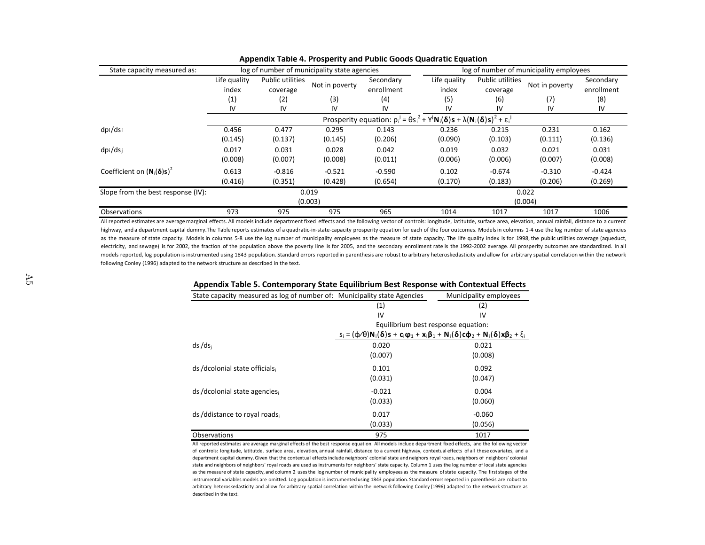| State capacity measured as:        |                       |                              | log of number of municipality state agencies |                         |                                                                                                            |                              | log of number of municipality employees |                         |
|------------------------------------|-----------------------|------------------------------|----------------------------------------------|-------------------------|------------------------------------------------------------------------------------------------------------|------------------------------|-----------------------------------------|-------------------------|
|                                    | Life quality<br>index | Public utilities<br>coverage | Not in poverty                               | Secondary<br>enrollment | Life quality<br>index                                                                                      | Public utilities<br>coverage | Not in poverty                          | Secondary<br>enrollment |
|                                    | (1)                   | (2)                          | (3)                                          | (4)                     | (5)                                                                                                        | (6)                          | (7)                                     | (8)                     |
|                                    | IV                    | IV                           | IV                                           | IV                      | IV                                                                                                         | IV                           | IV                                      | IV                      |
|                                    |                       |                              |                                              |                         | Prosperity equation: $p_i^j = \theta s_i^2 + Y^j N_i(\delta) s + \lambda (N_i(\delta) s)^2 + \epsilon_i^j$ |                              |                                         |                         |
| dpi/dsi                            | 0.456                 | 0.477                        | 0.295                                        | 0.143                   | 0.236                                                                                                      | 0.215                        | 0.231                                   | 0.162                   |
|                                    | (0.145)               | (0.137)                      | (0.145)                                      | (0.206)                 | (0.090)                                                                                                    | (0.103)                      | (0.111)                                 | (0.136)                 |
| dpi/dsj                            | 0.017                 | 0.031                        | 0.028                                        | 0.042                   | 0.019                                                                                                      | 0.032                        | 0.021                                   | 0.031                   |
|                                    | (0.008)               | (0.007)                      | (0.008)                                      | (0.011)                 | (0.006)                                                                                                    | (0.006)                      | (0.007)                                 | (0.008)                 |
| Coefficient on $(N_1(\delta)s)^2$  | 0.613                 | $-0.816$                     | $-0.521$                                     | $-0.590$                | 0.102                                                                                                      | $-0.674$                     | $-0.310$                                | $-0.424$                |
|                                    | (0.416)               | (0.351)                      | (0.428)                                      | (0.654)                 | (0.170)                                                                                                    | (0.183)                      | (0.206)                                 | (0.269)                 |
| Slope from the best response (IV): |                       |                              | 0.019                                        |                         |                                                                                                            |                              | 0.022                                   |                         |
|                                    |                       |                              | (0.003)                                      |                         |                                                                                                            |                              | (0.004)                                 |                         |
| Observations                       | 973                   | 975                          | 975                                          | 965                     | 1014                                                                                                       | 1017                         | 1017                                    | 1006                    |

#### Appendix Table 4. Prosperity and Public Goods Quadratic Equation

All reported estimates are average marginal effects. All models include department fixed effects and the following vector of controls: longitude, latitutde, surface area, elevation, annual rainfall, distance to a current highway, and a department capital dummy. The Table reports estimates of a quadratic-in-state-capacity prosperity equation for each of the four outcomes. Models in columns 1-4 use the log number of state agencies as the measure of state capacity. Models in columns 5-8 use the log number of municipality employees as the measure of state capacity. The life quality index is for 1998, the public utilities coverage (aqueduct, electricity, and sewage) is for 2002, the fraction of the population above the poverty line is for 2005, and the secondary enrollment rate is the 1992-2002 average. All prosperity outcomes are standardized. In all models reported, log population is instrumented using 1843 population. Standard errors reported in parenthesis are robust to arbitrary heteroskedasticity and allow for arbitrary spatial correlation within the network following Conley (1996) adapted to the network structure as described in the text.

| . .                                                                      |                                                                                                                        |                        |
|--------------------------------------------------------------------------|------------------------------------------------------------------------------------------------------------------------|------------------------|
| State capacity measured as log of number of: Municipality state Agencies |                                                                                                                        | Municipality employees |
|                                                                          | (1)                                                                                                                    | (2)                    |
|                                                                          | IV                                                                                                                     | IV                     |
|                                                                          | Equilibrium best response equation:                                                                                    |                        |
|                                                                          | $s_i = (\varphi/\theta)N_i(\delta)s + c_i\varphi_1 + x_i\beta_1 + N_i(\delta)c\varphi_2 + N_i(\delta)x\beta_2 + \xi_i$ |                        |
| $ds_i/ds_i$                                                              | 0.020                                                                                                                  | 0.021                  |
|                                                                          | (0.007)                                                                                                                | (0.008)                |
| ds / dcolonial state officials                                           | 0.101                                                                                                                  | 0.092                  |
|                                                                          | (0.031)                                                                                                                | (0.047)                |
| ds / dcolonial state agencies                                            | $-0.021$                                                                                                               | 0.004                  |
|                                                                          | (0.033)                                                                                                                | (0.060)                |
| ds /ddistance to royal roads                                             | 0.017                                                                                                                  | $-0.060$               |
|                                                                          | (0.033)                                                                                                                | (0.056)                |
| <b>Observations</b>                                                      | 975                                                                                                                    | 1017                   |

# Appendix Table 5. Contemporary State Equilibrium Best Response with Contextual Effects

All reported estimates are average marginal effects of the best response equation. All models include department fixed effects, and the following vector of controls: longitude, latitutde, surface area, elevation, annual rainfall, distance to a current highway, contextual effects of all these covariates, and a department capital dummy. Given that the contextual effects include neighbors' colonial state and neighors royal roads, neighbors of neighbors' colonial state and neighbors of neighbors' royal roads are used as instruments for neighbors' state capacity. Column 1 uses the log number of local state agencies as the measure of state capacity, and column 2 uses the log number of municipality employees as the measure of state capacity. The first stages of the instrumental variables models are omitted. Log population is instrumented using 1843 population. Standard errors reported in parenthesis are robust to arbitrary heteroskedasticity and allow for arbitrary spatial correlation within the network following Conley (1996) adapted to the network structure as described in the text.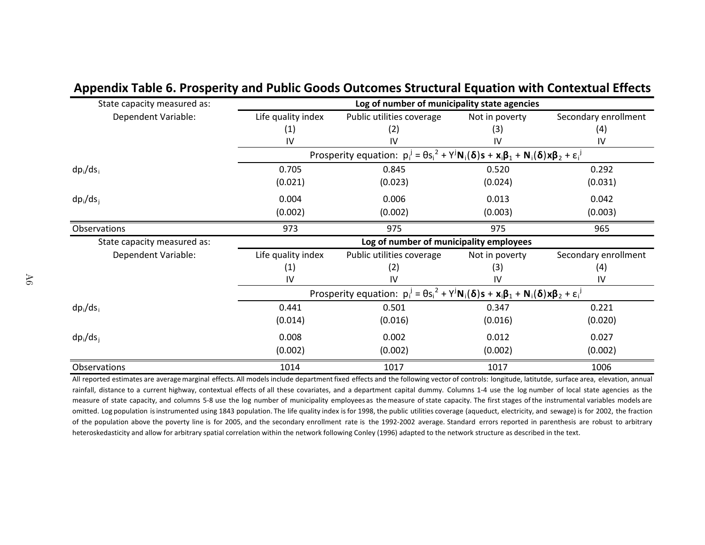| State capacity measured as: |                    | Log of number of municipality state agencies                                                                     |                |                      |
|-----------------------------|--------------------|------------------------------------------------------------------------------------------------------------------|----------------|----------------------|
| Dependent Variable:         | Life quality index | Public utilities coverage                                                                                        | Not in poverty | Secondary enrollment |
|                             | (1)                | (2)                                                                                                              | (3)            | (4)                  |
|                             | IV                 | IV                                                                                                               | IV             | IV                   |
|                             |                    | Prosperity equation: $p_i^j = \theta s_i^2 + Y^j N_i(\delta)s + x_i\beta_1 + N_i(\delta)x\beta_2 + \epsilon_i^j$ |                |                      |
| $dp_i/ds_i$                 | 0.705              | 0.845                                                                                                            | 0.520          | 0.292                |
|                             | (0.021)            | (0.023)                                                                                                          | (0.024)        | (0.031)              |
| $dp_i/ds_i$                 | 0.004              | 0.006                                                                                                            | 0.013          | 0.042                |
|                             | (0.002)            | (0.002)                                                                                                          | (0.003)        | (0.003)              |
| Observations                | 973                | 975                                                                                                              | 975            | 965                  |
| State capacity measured as: |                    | Log of number of municipality employees                                                                          |                |                      |
| Dependent Variable:         | Life quality index | Public utilities coverage                                                                                        | Not in poverty | Secondary enrollment |
|                             | (1)                | (2)                                                                                                              | (3)            | (4)                  |
|                             | IV                 | IV                                                                                                               | 1V             | IV                   |
|                             |                    | Prosperity equation: $p_i^j = \theta s_i^2 + Y^j N_i(\delta)s + x_i\beta_1 + N_i(\delta)x\beta_2 + \epsilon_i^j$ |                |                      |
| $dp_i/ds_i$                 | 0.441              | 0.501                                                                                                            | 0.347          | 0.221                |
|                             | (0.014)            | (0.016)                                                                                                          | (0.016)        | (0.020)              |
| $dp_i/ds_i$                 | 0.008              | 0.002                                                                                                            | 0.012          | 0.027                |
|                             | (0.002)            | (0.002)                                                                                                          | (0.002)        | (0.002)              |
| Observations                | 1014               | 1017                                                                                                             | 1017           | 1006                 |

# Appendix Table 6. Prosperity and Public Goods Outcomes Structural Equation with Contextual Effects

All reported estimates are average marginal effects. All models include department fixed effects and the following vector of controls: longitude, latitutde, surface area, elevation, annual rainfall, distance to a current highway, contextual effects of all these covariates, and a department capital dummy. Columns 1-4 use the log number of local state agencies as the measure of state capacity, and columns 5-8 use the log number of municipality employees as the measure of state capacity. The first stages of the instrumental variables models are omitted. Log population is instrumented using 1843 population. The life quality index is for 1998, the public utilities coverage (aqueduct, electricity, and sewage) is for 2002, the fraction of the population above the poverty line is for 2005, and the secondary enrollment rate is the 1992-2002 average. Standard errors reported in parenthesis are robust to arbitrary heteroskedasticity and allow for arbitrary spatial correlation within the network following Conley (1996) adapted to the network structure as described in the text.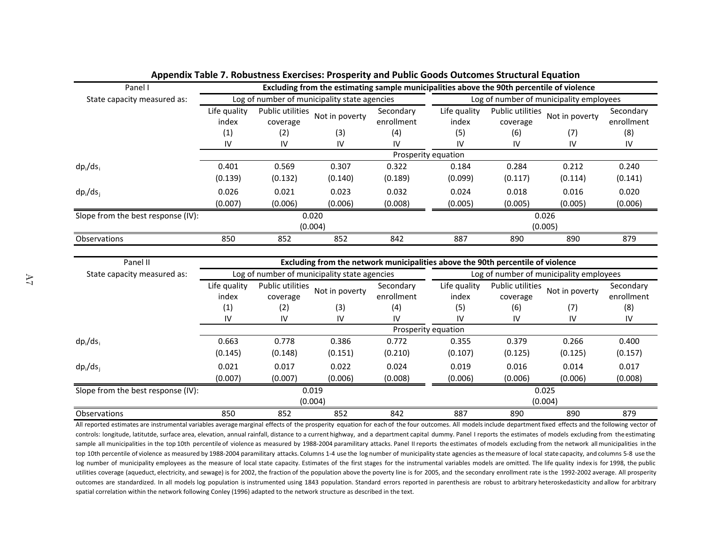| Panel I                            | Excluding from the estimating sample municipalities above the 90th percentile of violence |                  |                                                                                 |            |                     |                                         |                |            |  |  |
|------------------------------------|-------------------------------------------------------------------------------------------|------------------|---------------------------------------------------------------------------------|------------|---------------------|-----------------------------------------|----------------|------------|--|--|
| State capacity measured as:        |                                                                                           |                  | Log of number of municipality state agencies                                    |            |                     | Log of number of municipality employees |                |            |  |  |
|                                    | Life quality                                                                              | Public utilities | Not in poverty                                                                  | Secondary  | Life quality        | Public utilities                        | Not in poverty | Secondary  |  |  |
|                                    | index                                                                                     | coverage         |                                                                                 | enrollment | index               | coverage                                |                | enrollment |  |  |
|                                    | (1)                                                                                       | (2)              | (3)                                                                             | (4)        | (5)                 | (6)                                     | (7)            | (8)        |  |  |
|                                    | IV                                                                                        | IV               | IV                                                                              | IV         | IV                  | IV                                      | IV             | IV         |  |  |
|                                    |                                                                                           |                  |                                                                                 |            | Prosperity equation |                                         |                |            |  |  |
| $dp_i/ds_i$                        | 0.401                                                                                     | 0.569            | 0.307                                                                           | 0.322      | 0.184               | 0.284                                   | 0.212          | 0.240      |  |  |
|                                    | (0.139)                                                                                   | (0.132)          | (0.140)                                                                         | (0.189)    | (0.099)             | (0.117)                                 | (0.114)        | (0.141)    |  |  |
| $dp_i/ds_i$                        | 0.026                                                                                     | 0.021            | 0.023                                                                           | 0.032      | 0.024               | 0.018                                   | 0.016          | 0.020      |  |  |
|                                    | (0.007)                                                                                   | (0.006)          | (0.006)                                                                         | (0.008)    | (0.005)             | (0.005)                                 | (0.005)        | (0.006)    |  |  |
| Slope from the best response (IV): |                                                                                           |                  | 0.020                                                                           |            | 0.026               |                                         |                |            |  |  |
|                                    |                                                                                           |                  | (0.004)                                                                         |            |                     | (0.005)                                 |                |            |  |  |
| Observations                       | 850                                                                                       | 852              | 852                                                                             | 842        | 887                 | 890                                     | 890            | 879        |  |  |
| Panel II                           |                                                                                           |                  | Excluding from the network municipalities above the 90th percentile of violence |            |                     |                                         |                |            |  |  |
|                                    |                                                                                           |                  |                                                                                 |            |                     |                                         |                |            |  |  |
| State capacity measured as:        |                                                                                           |                  | Log of number of municipality state agencies                                    |            |                     | Log of number of municipality employees |                |            |  |  |

### Appendix Table 7. Robustness Exercises: Prosperity and Public Goods Outcomes Structural Equation

| Panel II                           | Excluding from the network municipalities above the 90th percentile of violence |                         |                                              |            |              |                                         |                |            |  |  |
|------------------------------------|---------------------------------------------------------------------------------|-------------------------|----------------------------------------------|------------|--------------|-----------------------------------------|----------------|------------|--|--|
| State capacity measured as:        |                                                                                 |                         | Log of number of municipality state agencies |            |              | Log of number of municipality employees |                |            |  |  |
|                                    | Life quality                                                                    | <b>Public utilities</b> |                                              | Secondary  | Life quality | <b>Public utilities</b>                 |                | Secondary  |  |  |
|                                    | index                                                                           | coverage                | Not in poverty                               | enrollment | index        | coverage                                | Not in poverty | enrollment |  |  |
|                                    | (1)                                                                             | (2)                     | (3)                                          | (4)        | (5)          | (6)                                     | (7)            | (8)        |  |  |
|                                    | IV                                                                              | IV                      | IV                                           | IV         | IV           | IV                                      | IV             | IV         |  |  |
| Prosperity equation                |                                                                                 |                         |                                              |            |              |                                         |                |            |  |  |
| $dp_i/ds_i$                        | 0.663                                                                           | 0.778                   | 0.386                                        | 0.772      | 0.355        | 0.379                                   | 0.266          | 0.400      |  |  |
|                                    | (0.145)                                                                         | (0.148)                 | (0.151)                                      | (0.210)    | (0.107)      | (0.125)                                 | (0.125)        | (0.157)    |  |  |
| $dp_i/ds_i$                        | 0.021                                                                           | 0.017                   | 0.022                                        | 0.024      | 0.019        | 0.016                                   | 0.014          | 0.017      |  |  |
|                                    | (0.007)                                                                         | (0.007)                 | (0.006)                                      | (0.008)    | (0.006)      | (0.006)                                 | (0.006)        | (0.008)    |  |  |
| Slope from the best response (IV): |                                                                                 |                         | 0.019                                        |            | 0.025        |                                         |                |            |  |  |
|                                    |                                                                                 |                         | (0.004)                                      |            | (0.004)      |                                         |                |            |  |  |
| Observations                       | 850                                                                             | 852                     | 852                                          | 842        | 887          | 890                                     | 890            | 879        |  |  |

All reported estimates are instrumental variables average marginal effects of the prosperity equation for each of the four outcomes. All models include department fixed effects and the following vector of controls: longitude, latitutde, surface area, elevation, annual rainfall, distance to a current highway, and a department capital dummy. Panel I reports the estimates of models excluding from the estimating sample all municipalities in the top 10th percentile of violence as measured by 1988-2004 paramilitary attacks. Panel II reports the estimates of models excluding from the network all municipalities in the top 10th percentile of violence as measured by 1988-2004 paramilitary attacks. Columns 1-4 use the log number of municipality state agencies as the measure of local state capacity, and columns 5-8 use the log number of municipality employees as the measure of local state capacity. Estimates of the first stages for the instrumental variables models are omitted. The life quality index is for 1998, the public utilities coverage (aqueduct, electricity, and sewage) is for 2002, the fraction of the population above the poverty line is for 2005, and the secondary enrollment rate is the 1992-2002 average. All prosperity outcomes are standardized. In all models log population is instrumented using 1843 population. Standard errors reported in parenthesis are robust to arbitrary heteroskedasticity and allow for arbitrary spatial correlation within the network following Conley (1996) adapted to the network structure as described in the text.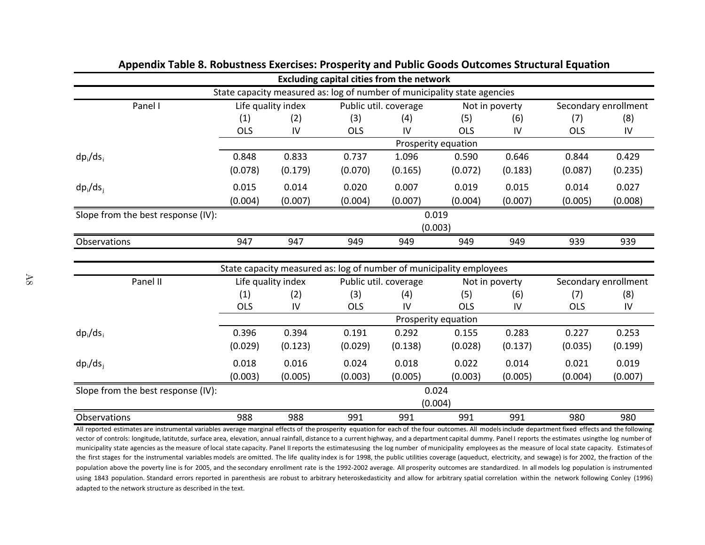|                                    |                                                               |                    | <b>Excluding capital cities from the network</b>                         |         |                     |                      |                      |            |
|------------------------------------|---------------------------------------------------------------|--------------------|--------------------------------------------------------------------------|---------|---------------------|----------------------|----------------------|------------|
|                                    |                                                               |                    | State capacity measured as: log of number of municipality state agencies |         |                     |                      |                      |            |
| Panel I                            | Public util. coverage<br>Life quality index<br>Not in poverty |                    |                                                                          |         |                     | Secondary enrollment |                      |            |
|                                    | (1)                                                           | (2)                | (3)                                                                      | (4)     | (5)                 | (6)                  | (7)                  | (8)        |
|                                    | <b>OLS</b>                                                    | $\mathsf{IV}$      | <b>OLS</b>                                                               | IV      | <b>OLS</b>          | IV                   | <b>OLS</b>           | IV         |
|                                    |                                                               |                    |                                                                          |         | Prosperity equation |                      |                      |            |
| $dp_i/ds_i$                        | 0.848                                                         | 0.833              | 0.737                                                                    | 1.096   | 0.590               | 0.646                | 0.844                | 0.429      |
|                                    | (0.078)                                                       | (0.179)            | (0.070)                                                                  | (0.165) | (0.072)             | (0.183)              | (0.087)              | (0.235)    |
| $dp_i/ds_i$                        | 0.015                                                         | 0.014              | 0.020                                                                    | 0.007   | 0.019               | 0.015                | 0.014                | 0.027      |
|                                    | (0.004)                                                       | (0.007)            | (0.004)                                                                  | (0.007) | (0.004)             | (0.007)              | (0.005)              | (0.008)    |
| Slope from the best response (IV): |                                                               |                    |                                                                          | 0.019   |                     |                      |                      |            |
|                                    |                                                               |                    |                                                                          |         | (0.003)             |                      |                      |            |
| Observations                       | 947                                                           | 947                | 949                                                                      | 949     | 949                 | 949                  | 939                  | 939        |
|                                    |                                                               |                    |                                                                          |         |                     |                      |                      |            |
|                                    |                                                               |                    | State capacity measured as: log of number of municipality employees      |         |                     |                      |                      |            |
| Panel II                           |                                                               | Life quality index | Public util. coverage                                                    |         | Not in poverty      |                      | Secondary enrollment |            |
|                                    | (1)                                                           | (2)                | (3)                                                                      | (4)     | (5)                 | (6)                  | (7)                  | (8)        |
|                                    | <b>OLS</b>                                                    | IV                 | <b>OLS</b>                                                               | IV      | <b>OLS</b>          | IV                   | <b>OLS</b>           | ${\sf IV}$ |
|                                    |                                                               |                    |                                                                          |         | Prosperity equation |                      |                      |            |
| $dp_i/ds_i$                        | 0.396                                                         | 0.394              | 0.191                                                                    | 0.292   | 0.155               | 0.283                | 0.227                | 0.253      |
|                                    | (0.029)                                                       | (0.123)            | (0.029)                                                                  | (0.138) | (0.028)             | (0.137)              | (0.035)              | (0.199)    |
| $dp_i/ds_i$                        | 0.018                                                         | 0.016              | 0.024                                                                    | 0.018   | 0.022               | 0.014                | 0.021                | 0.019      |
|                                    | (0.003)                                                       | (0.005)            | (0.003)                                                                  | (0.005) | (0.003)             | (0.005)              | (0.004)              | (0.007)    |
| Slope from the best response (IV): |                                                               | 0.024              |                                                                          |         |                     |                      |                      |            |
|                                    |                                                               |                    |                                                                          |         | (0.004)             |                      |                      |            |
| Observations                       | 988                                                           | 988                | 991                                                                      | 991     | 991                 | 991                  | 980                  | 980        |

## Appendix Table 8. Robustness Exercises: Prosperity and Public Goods Outcomes Structural Equation

All reported estimates are instrumental variables average marginal effects of the prosperity equation for each of the four outcomes. All models include department fixed effects and the following vector of controls: longitude, latitutde, surface area, elevation, annual rainfall, distance to a current highway, and a department capital dummy. Panel I reports the estimates usingthe log number of municipality state agencies as the measure of local state capacity. Panel II reports the estimatesusing the log number of municipality employees as the measure of local state capacity. Estimates of the first stages for the instrumental variables models are omitted. The life quality index is for 1998, the public utilities coverage (aqueduct, electricity, and sewage) is for 2002, the fraction of the population above the poverty line is for 2005, and the secondary enrollment rate is the 1992-2002 average. All prosperity outcomes are standardized. In all models log population is instrumented using 1843 population. Standard errors reported in parenthesis are robust to arbitrary heteroskedasticity and allow for arbitrary spatial correlation within the network following Conley (1996) adapted to the network structure as described in the text.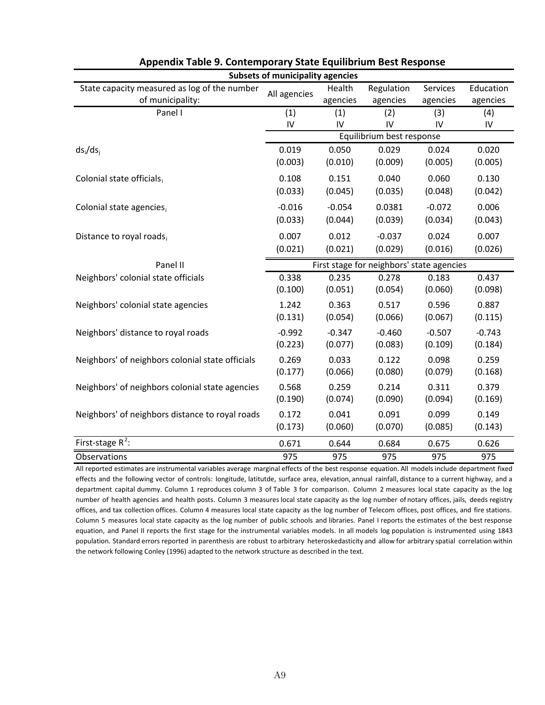| <b>Subsets of municipality agencies</b>          |              |          |                                           |          |           |  |  |  |  |
|--------------------------------------------------|--------------|----------|-------------------------------------------|----------|-----------|--|--|--|--|
| State capacity measured as log of the number     | All agencies | Health   | Regulation                                | Services | Education |  |  |  |  |
| of municipality:                                 |              | agencies | agencies                                  | agencies | agencies  |  |  |  |  |
| Panel I                                          | (1)          | (1)      | (2)                                       | (3)      | (4)       |  |  |  |  |
|                                                  | IV           | IV       | IV                                        | IV       | IV        |  |  |  |  |
|                                                  |              |          | Equilibrium best response                 |          |           |  |  |  |  |
| $ds_i/ds_i$                                      | 0.019        | 0.050    | 0.029                                     | 0.024    | 0.020     |  |  |  |  |
|                                                  | (0.003)      | (0.010)  | (0.009)                                   | (0.005)  | (0.005)   |  |  |  |  |
| Colonial state officials,                        | 0.108        | 0.151    | 0.040                                     | 0.060    | 0.130     |  |  |  |  |
|                                                  | (0.033)      | (0.045)  | (0.035)                                   | (0.048)  | (0.042)   |  |  |  |  |
| Colonial state agencies,                         | $-0.016$     | $-0.054$ | 0.0381                                    | $-0.072$ | 0.006     |  |  |  |  |
|                                                  | (0.033)      | (0.044)  | (0.039)                                   | (0.034)  | (0.043)   |  |  |  |  |
| Distance to royal roads,                         | 0.007        | 0.012    | $-0.037$                                  | 0.024    | 0.007     |  |  |  |  |
|                                                  | (0.021)      | (0.021)  | (0.029)                                   | (0.016)  | (0.026)   |  |  |  |  |
| Panel II                                         |              |          | First stage for neighbors' state agencies |          |           |  |  |  |  |
| Neighbors' colonial state officials              | 0.338        | 0.235    | 0.278                                     | 0.183    | 0.437     |  |  |  |  |
|                                                  | (0.100)      | (0.051)  | (0.054)                                   | (0.060)  | (0.098)   |  |  |  |  |
| Neighbors' colonial state agencies               | 1.242        | 0.363    | 0.517                                     | 0.596    | 0.887     |  |  |  |  |
|                                                  | (0.131)      | (0.054)  | (0.066)                                   | (0.067)  | (0.115)   |  |  |  |  |
| Neighbors' distance to royal roads               | $-0.992$     | $-0.347$ | $-0.460$                                  | $-0.507$ | $-0.743$  |  |  |  |  |
|                                                  | (0.223)      | (0.077)  | (0.083)                                   | (0.109)  | (0.184)   |  |  |  |  |
| Neighbors' of neighbors colonial state officials | 0.269        | 0.033    | 0.122                                     | 0.098    | 0.259     |  |  |  |  |
|                                                  | (0.177)      | (0.066)  | (0.080)                                   | (0.079)  | (0.168)   |  |  |  |  |
| Neighbors' of neighbors colonial state agencies  | 0.568        | 0.259    | 0.214                                     | 0.311    | 0.379     |  |  |  |  |
|                                                  | (0.190)      | (0.074)  | (0.090)                                   | (0.094)  | (0.169)   |  |  |  |  |
| Neighbors' of neighbors distance to royal roads  | 0.172        | 0.041    | 0.091                                     | 0.099    | 0.149     |  |  |  |  |
|                                                  | (0.173)      | (0.060)  | (0.070)                                   | (0.085)  | (0.143)   |  |  |  |  |
| First-stage $R^2$ :                              | 0.671        | 0.644    | 0.684                                     | 0.675    | 0.626     |  |  |  |  |
| Observations                                     | 975          | 975      | 975                                       | 975      | 975       |  |  |  |  |

## Appendix Table 9. Contemporary State Equilibrium Best Response

All reported estimates are instrumental variables average marginal effects of the best response equation. All models include department fixed effects and the following vector of controls: longitude, latitutde, surface area, elevation, annual rainfall, distance to a current highway, and a department capital dummy. Column 1 reproduces column 3 of Table 3 for comparison. Column 2 measures local state capacity as the log number of health agencies and health posts. Column 3 measures local state capacity as the log number of notary offices, jails, deeds registry offices, and tax collection offices. Column 4 measures local state capacity as the log number of Telecom offices, post offices, and fire stations. Column 5 measures local state capacity as the log number of public schools and libraries. Panel I reports the estimates of the best response equation, and Panel II reports the first stage for the instrumental variables models. In all models log population is instrumented using 1843 population. Standard errors reported in parenthesis are robust to arbitrary heteroskedasticity and allow for arbitrary spatial correlation within the network following Conley (1996) adapted to the network structure as described in the text.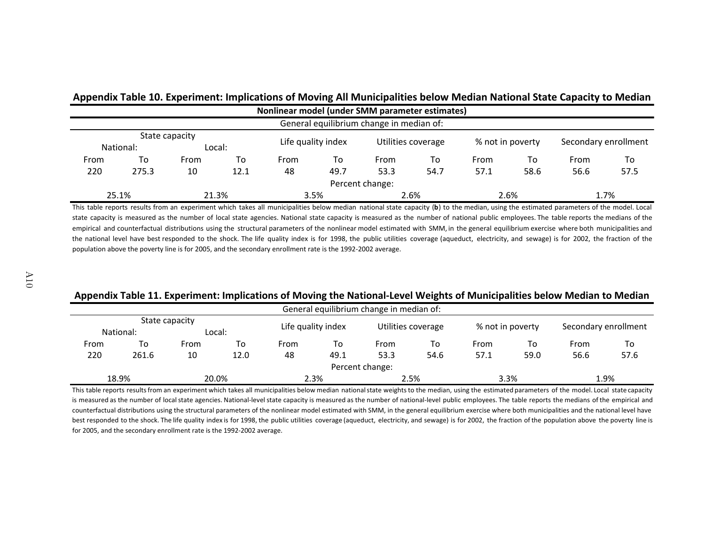# Appendix Table 10. Experiment: Implications of Moving All Municipalities below Median National State Capacity to Median

|      | Nonlinear model (under SMM parameter estimates) |      |                    |      |                    |                                          |                  |      |                      |      |      |
|------|-------------------------------------------------|------|--------------------|------|--------------------|------------------------------------------|------------------|------|----------------------|------|------|
|      |                                                 |      |                    |      |                    | General equilibrium change in median of: |                  |      |                      |      |      |
|      | State capacity<br>Local:<br>National:           |      | Life quality index |      | Utilities coverage |                                          | % not in poverty |      | Secondary enrollment |      |      |
| From | То                                              | From | To                 | From | To                 | From                                     | To               | From | To                   | From | To   |
| 220  | 275.3                                           | 10   | 12.1               | 48   | 49.7               | 53.3                                     | 54.7             | 57.1 | 58.6                 | 56.6 | 57.5 |
|      |                                                 |      |                    |      |                    | Percent change:                          |                  |      |                      |      |      |
|      | 25.1%                                           |      | 21.3%              |      | 3.5%               |                                          | 2.6%             |      | 2.6%                 |      | 1.7% |

This table reports results from an experiment which takes all municipalities below median national state capacity (b) to the median, using the estimated parameters of the model. Local state capacity is measured as the number of local state agencies. National state capacity is measured as the number of national public employees. The table reports the medians of the empirical and counterfactual distributions using the structural parameters of the nonlinear model estimated with SMM, in the general equilibrium exercise where both municipalities and the national level have best responded to the shock. The life quality index is for 1998, the public utilities coverage (aqueduct, electricity, and sewage) is for 2002, the fraction of the population above the poverty line is for 2005, and the secondary enrollment rate is the 1992-2002 average.

## Appendix Table 11. Experiment: Implications of Moving the National-Level Weights of Municipalities below Median to Median

|                |           |        |       |                    |      | General equilibrium change in median of: |      |                  |      |                      |      |
|----------------|-----------|--------|-------|--------------------|------|------------------------------------------|------|------------------|------|----------------------|------|
| State capacity |           |        |       |                    |      |                                          |      |                  |      |                      |      |
|                | National: | Local: |       | Life quality index |      | Utilities coverage                       |      | % not in poverty |      | Secondary enrollment |      |
| From           | To        | From   | To    | From               | To   | From                                     | To   | From             | то   | From                 | To   |
| 220            | 261.6     | 10     | 12.0  | 48                 | 49.1 | 53.3                                     | 54.6 | 57.1             | 59.0 | 56.6                 | 57.6 |
|                |           |        |       |                    |      | Percent change:                          |      |                  |      |                      |      |
|                | 18.9%     |        | 20.0% |                    | 2.3% | 2.5%                                     |      | 3.3%             |      |                      | 1.9% |

This table reports results from an experiment which takes all municipalities below median national state weights to the median, using the estimated parameters of the model. Local state capacity is measured as the number of local state agencies. National-level state capacity is measured as the number of national-level public employees. The table reports the medians of the empirical and counterfactual distributions using the structural parameters of the nonlinear model estimated with SMM, in the general equilibrium exercise where both municipalities and the national level have best responded to the shock. The life quality index is for 1998, the public utilities coverage (aqueduct, electricity, and sewage) is for 2002, the fraction of the population above the poverty line is for 2005, and the secondary enrollment rate is the 1992-2002 average.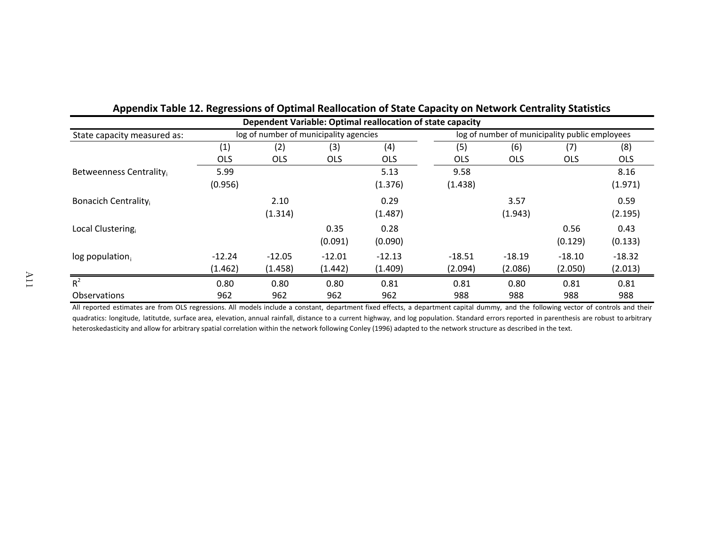| Dependent Variable: Optimal reallocation of state capacity |            |            |                                        |            |                                                |            |            |            |  |
|------------------------------------------------------------|------------|------------|----------------------------------------|------------|------------------------------------------------|------------|------------|------------|--|
| State capacity measured as:                                |            |            | log of number of municipality agencies |            | log of number of municipality public employees |            |            |            |  |
|                                                            | (1)        | (2)        | (3)                                    | (4)        | (5)                                            | (6)        | (7)        | (8)        |  |
|                                                            | <b>OLS</b> | <b>OLS</b> | <b>OLS</b>                             | <b>OLS</b> | <b>OLS</b>                                     | <b>OLS</b> | <b>OLS</b> | <b>OLS</b> |  |
| Betweenness Centrality                                     | 5.99       |            |                                        | 5.13       | 9.58                                           |            |            | 8.16       |  |
|                                                            | (0.956)    |            |                                        | (1.376)    | (1.438)                                        |            |            | (1.971)    |  |
| Bonacich Centrality                                        |            | 2.10       |                                        | 0.29       |                                                | 3.57       |            | 0.59       |  |
|                                                            |            | (1.314)    |                                        | (1.487)    |                                                | (1.943)    |            | (2.195)    |  |
| Local Clustering                                           |            |            | 0.35                                   | 0.28       |                                                |            | 0.56       | 0.43       |  |
|                                                            |            |            | (0.091)                                | (0.090)    |                                                |            | (0.129)    | (0.133)    |  |
| $log$ population,                                          | $-12.24$   | $-12.05$   | $-12.01$                               | $-12.13$   | $-18.51$                                       | $-18.19$   | $-18.10$   | $-18.32$   |  |
|                                                            | (1.462)    | (1.458)    | (1.442)                                | (1.409)    | (2.094)                                        | (2.086)    | (2.050)    | (2.013)    |  |
| $R^2$                                                      | 0.80       | 0.80       | 0.80                                   | 0.81       | 0.81                                           | 0.80       | 0.81       | 0.81       |  |
| <b>Observations</b>                                        | 962        | 962        | 962                                    | 962        | 988                                            | 988        | 988        | 988        |  |

| Appendix Table 12. Regressions of Optimal Reallocation of State Capacity on Network Centrality Statistics |  |  |
|-----------------------------------------------------------------------------------------------------------|--|--|
|                                                                                                           |  |  |

All reported estimates are from OLS regressions. All models include a constant, department fixed effects, a department capital dummy, and the following vector of controls and their quadratics: longitude, latitutde, surface area, elevation, annual rainfall, distance to a current highway, and log population. Standard errors reported in parenthesis are robust to arbitrary heteroskedasticity and allow for arbitrary spatial correlation within the network following Conley (1996) adapted to the network structure as described in the text.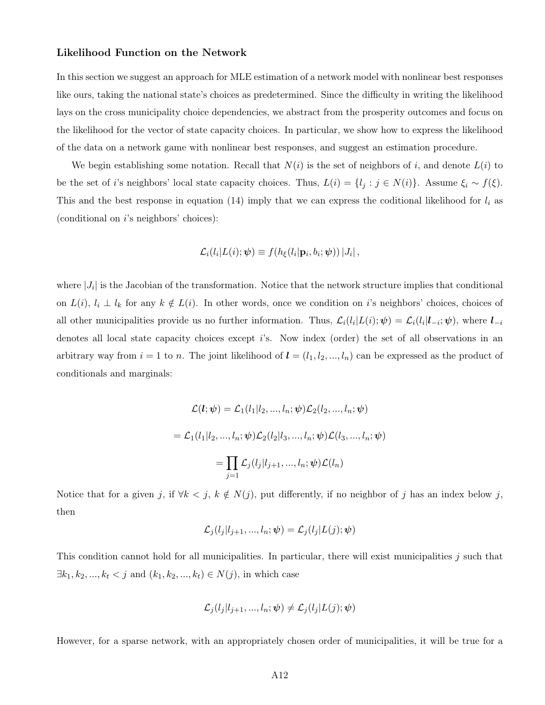#### Likelihood Function on the Network

In this section we suggest an approach for MLE estimation of a network model with nonlinear best responses like ours, taking the national state's choices as predetermined. Since the difficulty in writing the likelihood lays on the cross municipality choice dependencies, we abstract from the prosperity outcomes and focus on the likelihood for the vector of state capacity choices. In particular, we show how to express the likelihood of the data on a network game with nonlinear best responses, and suggest an estimation procedure.

We begin establishing some notation. Recall that  $N(i)$  is the set of neighbors of *i*, and denote  $L(i)$  to be the set of *i*'s neighbors' local state capacity choices. Thus,  $L(i) = \{l_j : j \in N(i)\}\)$ . Assume  $\xi_i \sim f(\xi)$ . This and the best response in equation  $(14)$  imply that we can express the coditional likelihood for  $l_i$  as (conditional on *i*'s neighbors' choices):

$$
\mathcal{L}_i(l_i|L(i); \boldsymbol{\psi}) \equiv f(h_{\xi}(l_i|\mathbf{p}_i, b_i; \boldsymbol{\psi})) |J_i|,
$$

where  $|J_i|$  is the Jacobian of the transformation. Notice that the network structure implies that conditional on  $L(i)$ ,  $l_i \perp l_k$  for any  $k \notin L(i)$ . In other words, once we condition on *i*'s neighbors' choices, choices of all other municipalities provide us no further information. Thus,  $\mathcal{L}_i(l_i|L(i); \psi) = \mathcal{L}_i(l_i|l_{-i}; \psi)$ , where  $l_{-i}$ denotes all local state capacity choices except *i*'s. Now index (order) the set of all observations in an arbitrary way from  $i = 1$  to *n*. The joint likelihood of  $\mathbf{l} = (l_1, l_2, ..., l_n)$  can be expressed as the product of conditionals and marginals:

$$
\mathcal{L}(l; \psi) = \mathcal{L}_1(l_1 | l_2, ..., l_n; \psi) \mathcal{L}_2(l_2, ..., l_n; \psi)
$$
  
= 
$$
\mathcal{L}_1(l_1 | l_2, ..., l_n; \psi) \mathcal{L}_2(l_2 | l_3, ..., l_n; \psi) \mathcal{L}(l_3, ..., l_n; \psi)
$$
  
= 
$$
\prod_{j=1} \mathcal{L}_j(l_j | l_{j+1}, ..., l_n; \psi) \mathcal{L}(l_n)
$$

Notice that for a given *j*, if  $\forall k < j$ ,  $k \notin N(j)$ , put differently, if no neighbor of *j* has an index below *j*, then

$$
\mathcal{L}_j(l_j|l_{j+1},...,l_n;\boldsymbol{\psi})=\mathcal{L}_j(l_j|L(j);\boldsymbol{\psi})
$$

This condition cannot hold for all municipalities. In particular, there will exist municipalities *j* such that  $\exists k_1, k_2, ..., k_t < j$  and  $(k_1, k_2, ..., k_t) \in N(j)$ , in which case

$$
\mathcal{L}_j(l_j|l_{j+1},...,l_n;\boldsymbol{\psi}) \neq \mathcal{L}_j(l_j|L(j);\boldsymbol{\psi})
$$

However, for a sparse network, with an appropriately chosen order of municipalities, it will be true for a